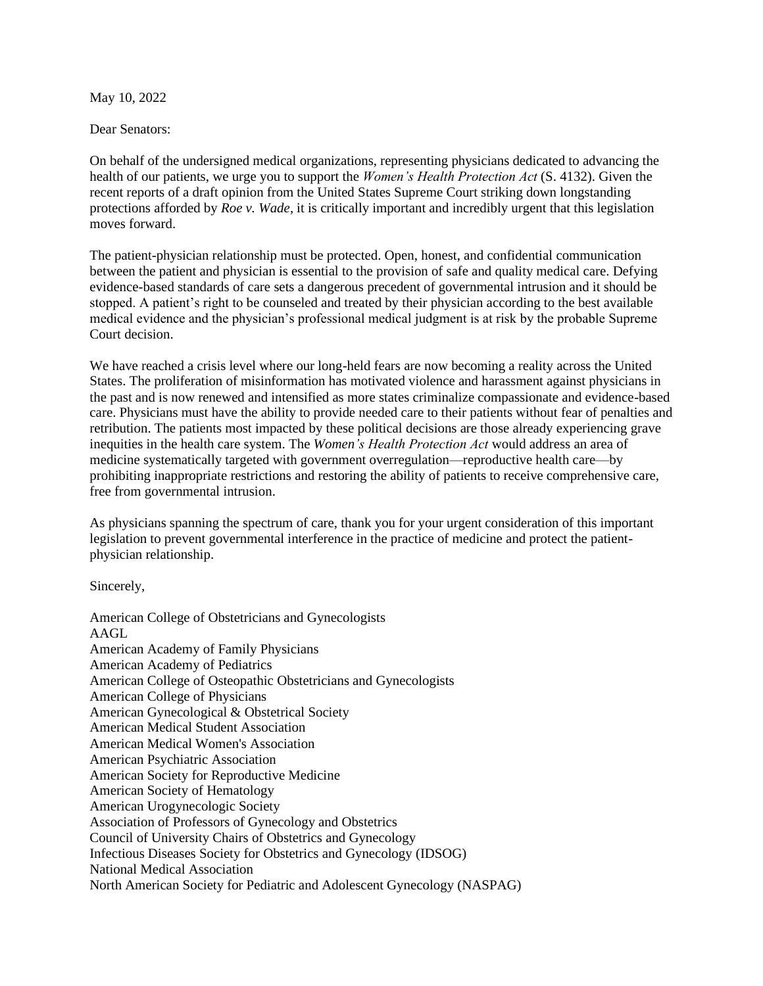May 10, 2022

Dear Senators:

On behalf of the undersigned medical organizations, representing physicians dedicated to advancing the health of our patients, we urge you to support the *Women's Health Protection Act* (S. 4132). Given the recent reports of a draft opinion from the United States Supreme Court striking down longstanding protections afforded by *Roe v. Wade*, it is critically important and incredibly urgent that this legislation moves forward.

The patient-physician relationship must be protected. Open, honest, and confidential communication between the patient and physician is essential to the provision of safe and quality medical care. Defying evidence-based standards of care sets a dangerous precedent of governmental intrusion and it should be stopped. A patient's right to be counseled and treated by their physician according to the best available medical evidence and the physician's professional medical judgment is at risk by the probable Supreme Court decision.

We have reached a crisis level where our long-held fears are now becoming a reality across the United States. The proliferation of misinformation has motivated violence and harassment against physicians in the past and is now renewed and intensified as more states criminalize compassionate and evidence-based care. Physicians must have the ability to provide needed care to their patients without fear of penalties and retribution. The patients most impacted by these political decisions are those already experiencing grave inequities in the health care system. The *Women's Health Protection Act* would address an area of medicine systematically targeted with government overregulation—reproductive health care—by prohibiting inappropriate restrictions and restoring the ability of patients to receive comprehensive care, free from governmental intrusion.

As physicians spanning the spectrum of care, thank you for your urgent consideration of this important legislation to prevent governmental interference in the practice of medicine and protect the patientphysician relationship.

Sincerely,

American College of Obstetricians and Gynecologists AAGL American Academy of Family Physicians American Academy of Pediatrics American College of Osteopathic Obstetricians and Gynecologists American College of Physicians American Gynecological & Obstetrical Society American Medical Student Association American Medical Women's Association American Psychiatric Association American Society for Reproductive Medicine American Society of Hematology American Urogynecologic Society Association of Professors of Gynecology and Obstetrics Council of University Chairs of Obstetrics and Gynecology Infectious Diseases Society for Obstetrics and Gynecology (IDSOG) National Medical Association North American Society for Pediatric and Adolescent Gynecology (NASPAG)